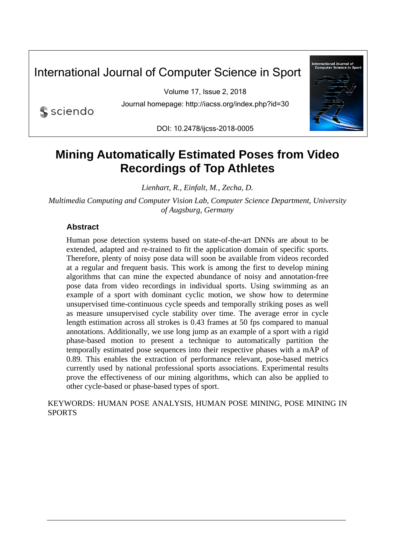# International Journal of Computer Science in Sport

Volume 17, Issue 2, 2018 Journal homepage: http://iacss.org/index.php?id=30

sciendo

DOI: 10.2478/ijcss-2018-0005



# **Mining Automatically Estimated Poses from Video Recordings of Top Athletes**

*Lienhart, R., Einfalt, M., Zecha, D.* 

*Multimedia Computing and Computer Vision Lab, Computer Science Department, University of Augsburg, Germany* 

# **Abstract**

Human pose detection systems based on state-of-the-art DNNs are about to be extended, adapted and re-trained to fit the application domain of specific sports. Therefore, plenty of noisy pose data will soon be available from videos recorded at a regular and frequent basis. This work is among the first to develop mining algorithms that can mine the expected abundance of noisy and annotation-free pose data from video recordings in individual sports. Using swimming as an example of a sport with dominant cyclic motion, we show how to determine unsupervised time-continuous cycle speeds and temporally striking poses as well as measure unsupervised cycle stability over time. The average error in cycle length estimation across all strokes is 0.43 frames at 50 fps compared to manual annotations. Additionally, we use long jump as an example of a sport with a rigid phase-based motion to present a technique to automatically partition the temporally estimated pose sequences into their respective phases with a mAP of 0.89. This enables the extraction of performance relevant, pose-based metrics currently used by national professional sports associations. Experimental results prove the effectiveness of our mining algorithms, which can also be applied to other cycle-based or phase-based types of sport.

KEYWORDS: HUMAN POSE ANALYSIS, HUMAN POSE MINING, POSE MINING IN **SPORTS**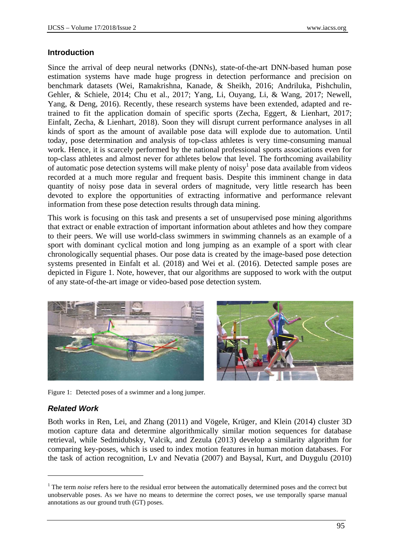#### **Introduction**

Since the arrival of deep neural networks (DNNs), state-of-the-art DNN-based human pose estimation systems have made huge progress in detection performance and precision on benchmark datasets (Wei, Ramakrishna, Kanade, & Sheikh, 2016; Andriluka, Pishchulin, Gehler, & Schiele, 2014; Chu et al., 2017; Yang, Li, Ouyang, Li, & Wang, 2017; Newell, Yang, & Deng, 2016). Recently, these research systems have been extended, adapted and retrained to fit the application domain of specific sports (Zecha, Eggert, & Lienhart, 2017; Einfalt, Zecha, & Lienhart, 2018). Soon they will disrupt current performance analyses in all kinds of sport as the amount of available pose data will explode due to automation. Until today, pose determination and analysis of top-class athletes is very time-consuming manual work. Hence, it is scarcely performed by the national professional sports associations even for top-class athletes and almost never for athletes below that level. The forthcoming availability of automatic pose detection systems will make plenty of noisy<sup>1</sup> pose data available from videos recorded at a much more regular and frequent basis. Despite this imminent change in data quantity of noisy pose data in several orders of magnitude, very little research has been devoted to explore the opportunities of extracting informative and performance relevant information from these pose detection results through data mining.

This work is focusing on this task and presents a set of unsupervised pose mining algorithms that extract or enable extraction of important information about athletes and how they compare to their peers. We will use world-class swimmers in swimming channels as an example of a sport with dominant cyclical motion and long jumping as an example of a sport with clear chronologically sequential phases. Our pose data is created by the image-based pose detection systems presented in Einfalt et al. (2018) and Wei et al. (2016). Detected sample poses are depicted in Figure 1. Note, however, that our algorithms are supposed to work with the output of any state-of-the-art image or video-based pose detection system.



Figure 1: Detected poses of a swimmer and a long jumper.

# *Related Work*

1

Both works in Ren, Lei, and Zhang (2011) and Vögele, Krüger, and Klein (2014) cluster 3D motion capture data and determine algorithmically similar motion sequences for database retrieval, while Sedmidubsky, Valcik, and Zezula (2013) develop a similarity algorithm for comparing key-poses, which is used to index motion features in human motion databases. For the task of action recognition, Lv and Nevatia (2007) and Baysal, Kurt, and Duygulu (2010)

<sup>&</sup>lt;sup>1</sup> The term *noise* refers here to the residual error between the automatically determined poses and the correct but unobservable poses. As we have no means to determine the correct poses, we use temporally sparse manual annotations as our ground truth (GT) poses.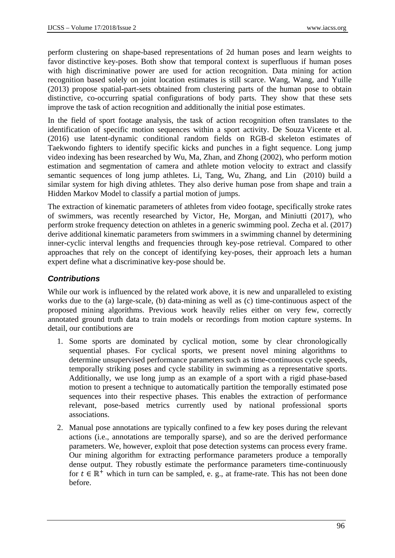perform clustering on shape-based representations of 2d human poses and learn weights to favor distinctive key-poses. Both show that temporal context is superfluous if human poses with high discriminative power are used for action recognition. Data mining for action recognition based solely on joint location estimates is still scarce. Wang, Wang, and Yuille (2013) propose spatial-part-sets obtained from clustering parts of the human pose to obtain distinctive, co-occurring spatial configurations of body parts. They show that these sets improve the task of action recognition and additionally the initial pose estimates.

In the field of sport footage analysis, the task of action recognition often translates to the identification of specific motion sequences within a sport activity. De Souza Vicente et al. (2016) use latent-dynamic conditional random fields on RGB-d skeleton estimates of Taekwondo fighters to identify specific kicks and punches in a fight sequence. Long jump video indexing has been researched by Wu, Ma, Zhan, and Zhong (2002), who perform motion estimation and segmentation of camera and athlete motion velocity to extract and classify semantic sequences of long jump athletes. Li, Tang, Wu, Zhang, and Lin (2010) build a similar system for high diving athletes. They also derive human pose from shape and train a Hidden Markov Model to classify a partial motion of jumps.

The extraction of kinematic parameters of athletes from video footage, specifically stroke rates of swimmers, was recently researched by Victor, He, Morgan, and Miniutti (2017), who perform stroke frequency detection on athletes in a generic swimming pool. Zecha et al. (2017) derive additional kinematic parameters from swimmers in a swimming channel by determining inner-cyclic interval lengths and frequencies through key-pose retrieval. Compared to other approaches that rely on the concept of identifying key-poses, their approach lets a human expert define what a discriminative key-pose should be.

# *Contributions*

While our work is influenced by the related work above, it is new and unparalleled to existing works due to the (a) large-scale, (b) data-mining as well as (c) time-continuous aspect of the proposed mining algorithms. Previous work heavily relies either on very few, correctly annotated ground truth data to train models or recordings from motion capture systems. In detail, our contibutions are

- 1. Some sports are dominated by cyclical motion, some by clear chronologically sequential phases. For cyclical sports, we present novel mining algorithms to determine unsupervised performance parameters such as time-continuous cycle speeds, temporally striking poses and cycle stability in swimming as a representative sports. Additionally, we use long jump as an example of a sport with a rigid phase-based motion to present a technique to automatically partition the temporally estimated pose sequences into their respective phases. This enables the extraction of performance relevant, pose-based metrics currently used by national professional sports associations.
- 2. Manual pose annotations are typically confined to a few key poses during the relevant actions (i.e., annotations are temporally sparse), and so are the derived performance parameters. We, however, exploit that pose detection systems can process every frame. Our mining algorithm for extracting performance parameters produce a temporally dense output. They robustly estimate the performance parameters time-continuously for  $t \in \mathbb{R}^+$  which in turn can be sampled, e. g., at frame-rate. This has not been done before.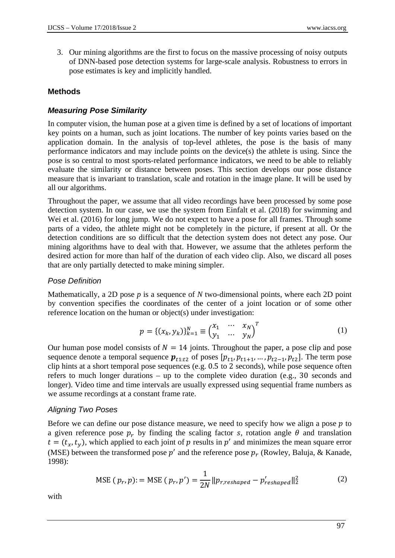3. Our mining algorithms are the first to focus on the massive processing of noisy outputs of DNN-based pose detection systems for large-scale analysis. Robustness to errors in pose estimates is key and implicitly handled.

### **Methods**

# *Measuring Pose Similarity*

In computer vision, the human pose at a given time is defined by a set of locations of important key points on a human, such as joint locations. The number of key points varies based on the application domain. In the analysis of top-level athletes, the pose is the basis of many performance indicators and may include points on the device(s) the athlete is using. Since the pose is so central to most sports-related performance indicators, we need to be able to reliably evaluate the similarity or distance between poses. This section develops our pose distance measure that is invariant to translation, scale and rotation in the image plane. It will be used by all our algorithms.

Throughout the paper, we assume that all video recordings have been processed by some pose detection system. In our case, we use the system from Einfalt et al. (2018) for swimming and Wei et al. (2016) for long jump. We do not expect to have a pose for all frames. Through some parts of a video, the athlete might not be completely in the picture, if present at all. Or the detection conditions are so difficult that the detection system does not detect any pose. Our mining algorithms have to deal with that. However, we assume that the athletes perform the desired action for more than half of the duration of each video clip. Also, we discard all poses that are only partially detected to make mining simpler.

#### *Pose Definition*

Mathematically, a 2D pose *p* is a sequence of *N* two-dimensional points, where each 2D point by convention specifies the coordinates of the center of a joint location or of some other reference location on the human or object(s) under investigation:

$$
p = \{(x_k, y_k)\}_{k=1}^N \equiv \begin{pmatrix} x_1 & \cdots & x_N \\ y_1 & \cdots & y_N \end{pmatrix}^T
$$
 (1)

Our human pose model consists of  $N = 14$  joints. Throughout the paper, a pose clip and pose sequence denote a temporal sequence  $p_{t1:t2}$  of poses  $[p_{t1}, p_{t1+1}, ..., p_{t2-1}, p_{t2}]$ . The term pose clip hints at a short temporal pose sequences (e.g. 0.5 to 2 seconds), while pose sequence often refers to much longer durations – up to the complete video duration (e.g., 30 seconds and longer). Video time and time intervals are usually expressed using sequential frame numbers as we assume recordings at a constant frame rate.

# *Aligning Two Poses*

Before we can define our pose distance measure, we need to specify how we align a pose  $p$  to a given reference pose  $p_r$  by finding the scaling factor s, rotation angle  $\theta$  and translation  $t = (t_x, t_y)$ , which applied to each joint of p results in p' and minimizes the mean square error (MSE) between the transformed pose  $p'$  and the reference pose  $p_r$  (Rowley, Baluja, & Kanade, 1998):

$$
\text{MSE}\left(p_r, p\right) := \text{MSE}\left(p_r, p'\right) = \frac{1}{2N} \left\|p_{r, reshaped} - p'_{reshaped}\right\|_2^2\tag{2}
$$

with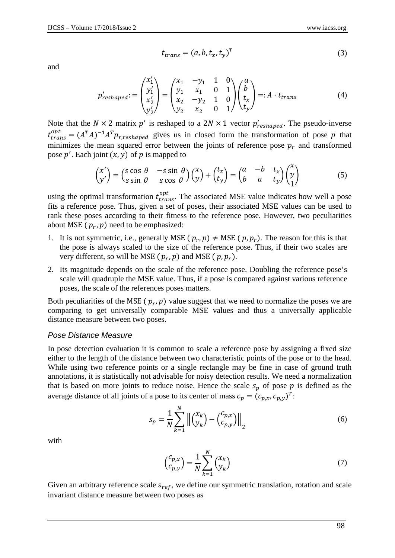and

$$
t_{trans} = (a, b, t_x, t_y)^T
$$
\n(3)

$$
p'_{reshape} := \begin{pmatrix} x'_1 \\ y'_1 \\ x'_2 \\ y'_2 \end{pmatrix} = \begin{pmatrix} x_1 & -y_1 & 1 & 0 \\ y_1 & x_1 & 0 & 1 \\ x_2 & -y_2 & 1 & 0 \\ y_2 & x_2 & 0 & 1 \end{pmatrix} \begin{pmatrix} a \\ b \\ t_x \\ t_y \end{pmatrix} =: A \cdot t_{trans}
$$
(4)

Note that the  $N \times 2$  matrix p' is reshaped to a  $2N \times 1$  vector  $p'_{reshape}$ . The pseudo-inverse  $t^{opt}_{trans} = (A^T A)^{-1} A^T p_{r, reshaped}$  gives us in closed form the transformation of pose p that minimizes the mean squared error between the joints of reference pose  $p_r$  and transformed pose  $p'$ . Each joint  $(x, y)$  of p is mapped to

$$
\begin{pmatrix} x' \\ y' \end{pmatrix} = \begin{pmatrix} s \cos \theta & -s \sin \theta \\ s \sin \theta & s \cos \theta \end{pmatrix} \begin{pmatrix} x \\ y \end{pmatrix} + \begin{pmatrix} t_x \\ t_y \end{pmatrix} = \begin{pmatrix} a & -b & t_x \\ b & a & t_y \end{pmatrix} \begin{pmatrix} x \\ y \\ 1 \end{pmatrix}
$$
 (5)

using the optimal transformation  $t_{trans}^{opt}$ . The associated MSE value indicates how well a pose fits a reference pose. Thus, given a set of poses, their associated MSE values can be used to rank these poses according to their fitness to the reference pose. However, two peculiarities about MSE  $(p_r, p)$  need to be emphasized:

- 1. It is not symmetric, i.e., generally MSE  $(p_r, p) \neq \text{MSE}(p, p_r)$ . The reason for this is that the pose is always scaled to the size of the reference pose. Thus, if their two scales are very different, so will be MSE ( $p_r$ ,  $p$ ) and MSE ( $p$ ,  $p_r$ ).
- 2. Its magnitude depends on the scale of the reference pose. Doubling the reference pose's scale will quadruple the MSE value. Thus, if a pose is compared against various reference poses, the scale of the references poses matters.

Both peculiarities of the MSE  $(p_r, p)$  value suggest that we need to normalize the poses we are comparing to get universally comparable MSE values and thus a universally applicable distance measure between two poses.

#### *Pose Distance Measure*

In pose detection evaluation it is common to scale a reference pose by assigning a fixed size either to the length of the distance between two characteristic points of the pose or to the head. While using two reference points or a single rectangle may be fine in case of ground truth annotations, it is statistically not advisable for noisy detection results. We need a normalization that is based on more joints to reduce noise. Hence the scale  $s_p$  of pose p is defined as the average distance of all joints of a pose to its center of mass  $c_p = (c_{p,x}, c_{p,y})^T$ :

$$
s_p = \frac{1}{N} \sum_{k=1}^{N} \left\| \binom{x_k}{y_k} - \binom{c_{p,x}}{c_{p,y}} \right\|_2 \tag{6}
$$

with

$$
\begin{pmatrix} c_{p,x} \\ c_{p,y} \end{pmatrix} = \frac{1}{N} \sum_{k=1}^{N} \begin{pmatrix} x_k \\ y_k \end{pmatrix}
$$
\n(7)

Given an arbitrary reference scale  $s_{ref}$ , we define our symmetric translation, rotation and scale invariant distance measure between two poses as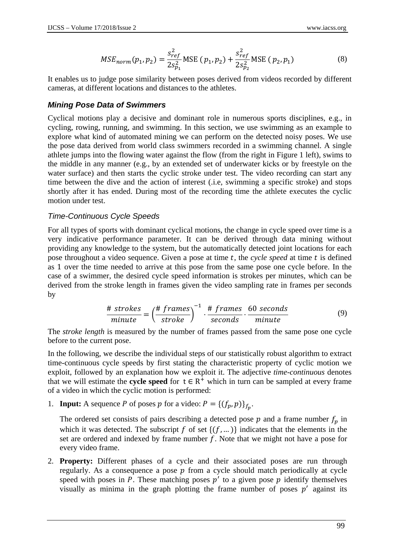$$
MSE_{norm}(p_1, p_2) = \frac{s_{ref}^2}{2s_{p_1}^2} \text{MSE} (p_1, p_2) + \frac{s_{ref}^2}{2s_{p_2}^2} \text{MSE} (p_2, p_1)
$$
(8)

It enables us to judge pose similarity between poses derived from videos recorded by different cameras, at different locations and distances to the athletes.

### *Mining Pose Data of Swimmers*

Cyclical motions play a decisive and dominant role in numerous sports disciplines, e.g., in cycling, rowing, running, and swimming. In this section, we use swimming as an example to explore what kind of automated mining we can perform on the detected noisy poses. We use the pose data derived from world class swimmers recorded in a swimming channel. A single athlete jumps into the flowing water against the flow (from the right in Figure 1 left), swims to the middle in any manner (e.g., by an extended set of underwater kicks or by freestyle on the water surface) and then starts the cyclic stroke under test. The video recording can start any time between the dive and the action of interest (.i.e, swimming a specific stroke) and stops shortly after it has ended. During most of the recording time the athlete executes the cyclic motion under test.

# *Time-Continuous Cycle Speeds*

For all types of sports with dominant cyclical motions, the change in cycle speed over time is a very indicative performance parameter. It can be derived through data mining without providing any knowledge to the system, but the automatically detected joint locations for each pose throughout a video sequence. Given a pose at time t, the *cycle speed* at time t is defined as 1 over the time needed to arrive at this pose from the same pose one cycle before. In the case of a swimmer, the desired cycle speed information is strokes per minutes, which can be derived from the stroke length in frames given the video sampling rate in frames per seconds by

$$
\frac{\# \ stress}{minute} = \left(\frac{\# \ frames}{\ \}^{-1} \cdot \frac{\# \ frames}{seconds} \cdot \frac{60 \ seconds}{minute} \right) \tag{9}
$$

The *stroke length* is measured by the number of frames passed from the same pose one cycle before to the current pose.

In the following, we describe the individual steps of our statistically robust algorithm to extract time-continuous cycle speeds by first stating the characteristic property of cyclic motion we exploit, followed by an explanation how we exploit it. The adjective *time-continuous* denotes that we will estimate the **cycle speed** for  $t \in R^+$  which in turn can be sampled at every frame of a video in which the cyclic motion is performed:

1. **Input:** A sequence P of poses p for a video:  $P = \{(f_p, p)\}_{f_p}$ .

The ordered set consists of pairs describing a detected pose  $p$  and a frame number  $f_p$  in which it was detected. The subscript f of set  $\{(f, \dots)\}\$ indicates that the elements in the set are ordered and indexed by frame number  $f$ . Note that we might not have a pose for every video frame.

2. **Property:** Different phases of a cycle and their associated poses are run through regularly. As a consequence a pose  $p$  from a cycle should match periodically at cycle speed with poses in P. These matching poses  $p'$  to a given pose  $p$  identify themselves visually as minima in the graph plotting the frame number of poses  $p'$  against its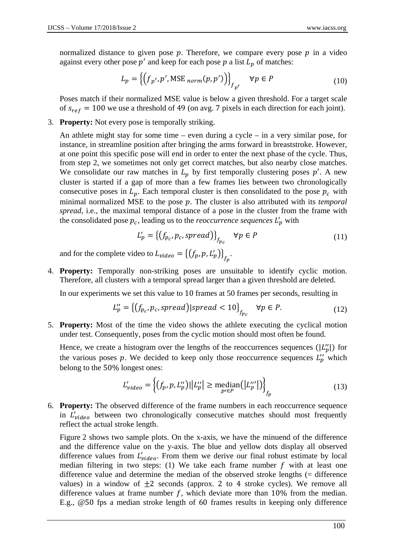normalized distance to given pose  $p$ . Therefore, we compare every pose  $p$  in a video against every other pose  $p'$  and keep for each pose  $p$  a list  $L_p$  of matches:

$$
L_p = \left\{ \left( f_{p'}, p', \text{MSE}_{norm}(p, p') \right) \right\}_{f_{p'}} \quad \forall p \in P \tag{10}
$$

Poses match if their normalized MSE value is below a given threshold. For a target scale of  $s_{ref} = 100$  we use a threshold of 49 (on avg. 7 pixels in each direction for each joint).

3. **Property:** Not every pose is temporally striking.

An athlete might stay for some time – even during a cycle – in a very similar pose, for instance, in streamline position after bringing the arms forward in breaststroke. However, at one point this specific pose will end in order to enter the next phase of the cycle. Thus, from step 2, we sometimes not only get correct matches, but also nearby close matches. We consolidate our raw matches in  $L_p$  by first temporally clustering poses  $p'$ . A new cluster is started if a gap of more than a few frames lies between two chronologically consecutive poses in  $L_p$ . Each temporal cluster is then consolidated to the pose  $p_c$  with minimal normalized MSE to the pose p. The cluster is also attributed with its *temporal spread*, i.e., the maximal temporal distance of a pose in the cluster from the frame with the consolidated pose  $p_c$ , leading us to the *reoccurrence sequences*  $L'_p$  with

$$
L'_{p} = \left\{ (f_{p_c}, p_c, spread) \right\}_{f_{p_c}} \quad \forall p \in P \tag{11}
$$

and for the complete video to  $L_{video} = \left\{ (f_p, p, L'_p) \right\}_{f_p}$ .

4. **Property:** Temporally non-striking poses are unsuitable to identify cyclic motion. Therefore, all clusters with a temporal spread larger than a given threshold are deleted.

In our experiments we set this value to 10 frames at 50 frames per seconds, resulting in

$$
L_p'' = \left\{ (f_{p_c}, p_c, spread) | spread < 10 \right\}_{f_{p_c}} \quad \forall p \in P. \tag{12}
$$

5. **Property:** Most of the time the video shows the athlete executing the cyclical motion under test. Consequently, poses from the cyclic motion should most often be found.

Hence, we create a histogram over the lengths of the reoccurrences sequences ( $|L_p''|$ ) for the various poses p. We decided to keep only those reoccurrence sequences  $L_p''$  which belong to the 50% longest ones:

$$
L'_{video} = \left\{ (f_p, p, L''_p) || L''_p || \ge \underset{p' \in P}{\text{median}} (|L'''_p|) \right\}_{f_p} \tag{13}
$$

6. **Property:** The observed difference of the frame numbers in each reoccurrence sequence in  $L'_{video}$  between two chronologically consecutive matches should most frequently reflect the actual stroke length.

Figure 2 shows two sample plots. On the x-axis, we have the minuend of the difference and the difference value on the y-axis. The blue and yellow dots display all observed difference values from  $L'_{video}$ . From them we derive our final robust estimate by local median filtering in two steps: (1) We take each frame number  $f$  with at least one difference value and determine the median of the observed stroke lengths (= difference values) in a window of  $\pm 2$  seconds (approx. 2 to 4 stroke cycles). We remove all difference values at frame number  $f$ , which deviate more than 10% from the median. E.g., @50 fps a median stroke length of 60 frames results in keeping only difference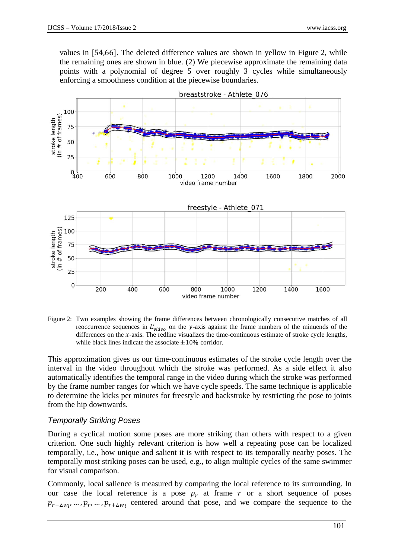values in [54,66]. The deleted difference values are shown in yellow in Figure 2, while the remaining ones are shown in blue. (2) We piecewise approximate the remaining data points with a polynomial of degree 5 over roughly 3 cycles while simultaneously enforcing a smoothness condition at the piecewise boundaries.



Figure 2: Two examples showing the frame differences between chronologically consecutive matches of all reoccurrence sequences in  $L'_{video}$  on the y-axis against the frame numbers of the minuends of the differences on the  $x$ -axis. The redline visualizes the time-continuous estimate of stroke cycle lengths, while black lines indicate the associate  $\pm 10\%$  corridor.

This approximation gives us our time-continuous estimates of the stroke cycle length over the interval in the video throughout which the stroke was performed. As a side effect it also automatically identifies the temporal range in the video during which the stroke was performed by the frame number ranges for which we have cycle speeds. The same technique is applicable to determine the kicks per minutes for freestyle and backstroke by restricting the pose to joints from the hip downwards.

#### *Temporally Striking Poses*

During a cyclical motion some poses are more striking than others with respect to a given criterion. One such highly relevant criterion is how well a repeating pose can be localized temporally, i.e., how unique and salient it is with respect to its temporally nearby poses. The temporally most striking poses can be used, e.g., to align multiple cycles of the same swimmer for visual comparison.

Commonly, local salience is measured by comparing the local reference to its surrounding. In our case the local reference is a pose  $p<sub>r</sub>$  at frame r or a short sequence of poses  $p_{r-\Delta w_l}, \ldots, p_r, \ldots, p_{r+\Delta w_l}$  centered around that pose, and we compare the sequence to the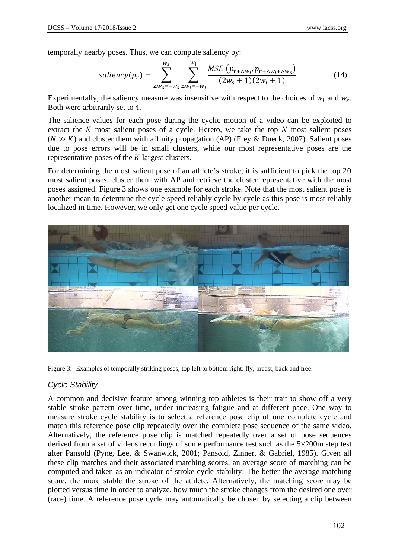temporally nearby poses. Thus, we can compute saliency by:

$$
saliency(p_r) = \sum_{\Delta w_s = -w_s}^{w_s} \sum_{\Delta w_l = -w_l}^{w_l} \frac{MSE(p_{r + \Delta w_l}, p_{r + \Delta w_l + \Delta w_s})}{(2w_s + 1)(2w_l + 1)}
$$
(14)

Experimentally, the saliency measure was insensitive with respect to the choices of  $w_l$  and  $w_s$ . Both were arbitrarily set to 4.

The salience values for each pose during the cyclic motion of a video can be exploited to extract the  $K$  most salient poses of a cycle. Hereto, we take the top  $N$  most salient poses  $(N \gg K)$  and cluster them with affinity propagation (AP) (Frey & Dueck, 2007). Salient poses due to pose errors will be in small clusters, while our most representative poses are the representative poses of the  $K$  largest clusters.

For determining the most salient pose of an athlete's stroke, it is sufficient to pick the top 20 most salient poses, cluster them with AP and retrieve the cluster representative with the most poses assigned. Figure 3 shows one example for each stroke. Note that the most salient pose is another mean to determine the cycle speed reliably cycle by cycle as this pose is most reliably localized in time. However, we only get one cycle speed value per cycle.



Figure 3: Examples of temporally striking poses; top left to bottom right: fly, breast, back and free.

# *Cycle Stability*

A common and decisive feature among winning top athletes is their trait to show off a very stable stroke pattern over time, under increasing fatigue and at different pace. One way to measure stroke cycle stability is to select a reference pose clip of one complete cycle and match this reference pose clip repeatedly over the complete pose sequence of the same video. Alternatively, the reference pose clip is matched repeatedly over a set of pose sequences derived from a set of videos recordings of some performance test such as the 5×200m step test after Pansold (Pyne, Lee, & Swanwick, 2001; Pansold, Zinner, & Gabriel, 1985). Given all these clip matches and their associated matching scores, an average score of matching can be computed and taken as an indicator of stroke cycle stability: The better the average matching score, the more stable the stroke of the athlete. Alternatively, the matching score may be plotted versus time in order to analyze, how much the stroke changes from the desired one over (race) time. A reference pose cycle may automatically be chosen by selecting a clip between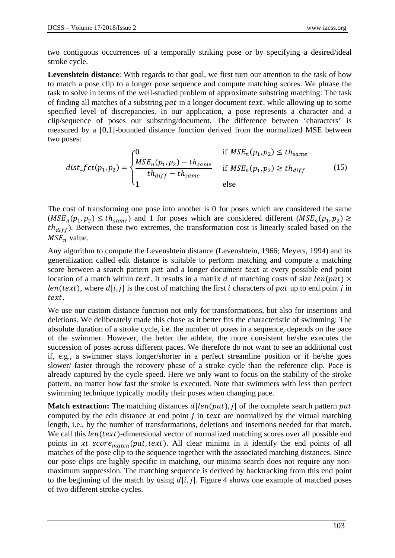two contiguous occurrences of a temporally striking pose or by specifying a desired/ideal stroke cycle.

**Levenshtein distance**: With regards to that goal, we first turn our attention to the task of how to match a pose clip to a longer pose sequence and compute matching scores. We phrase the task to solve in terms of the well-studied problem of approximate substring matching: The task of finding all matches of a substring pat in a longer document text, while allowing up to some specified level of discrepancies. In our application, a pose represents a character and a clip/sequence of poses our substring/document. The difference between 'characters' is measured by a [0,1]-bounded distance function derived from the normalized MSE between two poses:

$$
dist_fct(p_1, p_2) = \begin{cases} 0 & \text{if } MSE_n(p_1, p_2) \leq th_{same} \\ \frac{MSE_n(p_1, p_2) - th_{same}}{th_{diff} - th_{same}} & \text{if } MSE_n(p_1, p_2) \geq th_{diff} \\ 1 & \text{else} \end{cases}
$$
(15)

The cost of transforming one pose into another is 0 for poses which are considered the same  $(MSE_n(p_1, p_2) \le th_{same})$  and 1 for poses which are considered different  $(MSE_n(p_1, p_2) \ge th_{same})$  $th_{diff}$ ). Between these two extremes, the transformation cost is linearly scaled based on the  $MSE_n$  value.

Any algorithm to compute the Levenshtein distance (Levenshtein, 1966; Meyers, 1994) and its generalization called edit distance is suitable to perform matching and compute a matching score between a search pattern pat and a longer document text at every possible end point location of a match within text. It results in a matrix d of matching costs of size  $len(path) \times$  $len(text)$ , where  $d[i, j]$  is the cost of matching the first *i* characters of pat up to end point *j* in text.

We use our custom distance function not only for transformations, but also for insertions and deletions. We deliberately made this chose as it better fits the characteristic of swimming: The absolute duration of a stroke cycle, i.e. the number of poses in a sequence, depends on the pace of the swimmer. However, the better the athlete, the more consistent he/she executes the succession of poses across different paces. We therefore do not want to see an additional cost if, e.g., a swimmer stays longer/shorter in a perfect streamline position or if he/she goes slower/ faster through the recovery phase of a stroke cycle than the reference clip. Pace is already captured by the cycle speed. Here we only want to focus on the stability of the stroke pattern, no matter how fast the stroke is executed. Note that swimmers with less than perfect swimming technique typically modify their poses when changing pace.

**Match extraction:** The matching distances  $d[len(path), j]$  of the complete search pattern pat computed by the edit distance at end point  $j$  in text are normalized by the virtual matching length, i.e., by the number of transformations, deletions and insertions needed for that match. We call this  $len(text)$ -dimensional vector of normalized matching scores over all possible end points in xt score<sub>match</sub>(pat, text). All clear minima in it identify the end points of all matches of the pose clip to the sequence together with the associated matching distances. Since our pose clips are highly specific in matching, our minima search does not require any nonmaximum suppression. The matching sequence is derived by backtracking from this end point to the beginning of the match by using  $d[i, j]$ . Figure 4 shows one example of matched poses of two different stroke cycles.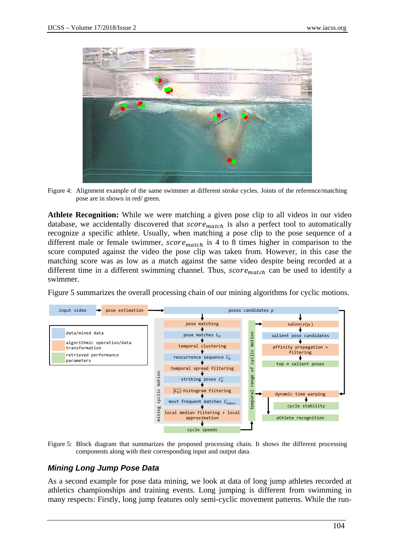

Figure 4: Alignment example of the same swimmer at different stroke cycles. Joints of the reference/matching pose are in shown in red/ green.

**Athlete Recognition:** While we were matching a given pose clip to all videos in our video database, we accidentally discovered that  $score_{match}$  is also a perfect tool to automatically recognize a specific athlete. Usually, when matching a pose clip to the pose sequence of a different male or female swimmer,  $score_{match}$  is 4 to 8 times higher in comparison to the score computed against the video the pose clip was taken from. However, in this case the matching score was as low as a match against the same video despite being recorded at a different time in a different swimming channel. Thus,  $score_{match}$  can be used to identify a swimmer.

Figure 5 summarizes the overall processing chain of our mining algorithms for cyclic motions.



Figure 5: Block diagram that summarizes the proposed processing chain. It shows the different processing components along with their corresponding input and output data.

#### *Mining Long Jump Pose Data*

As a second example for pose data mining, we look at data of long jump athletes recorded at athletics championships and training events. Long jumping is different from swimming in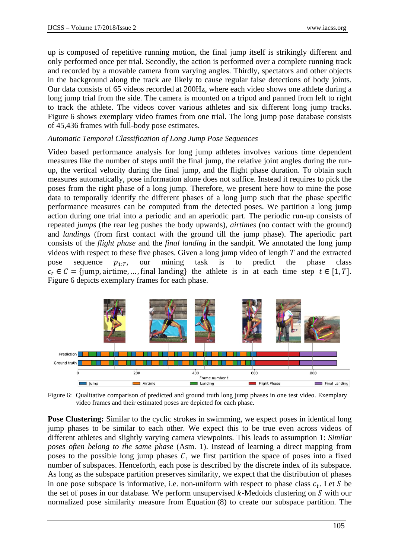up is composed of repetitive running motion, the final jump itself is strikingly different and only performed once per trial. Secondly, the action is performed over a complete running track and recorded by a movable camera from varying angles. Thirdly, spectators and other objects in the background along the track are likely to cause regular false detections of body joints. Our data consists of 65 videos recorded at 200Hz, where each video shows one athlete during a long jump trial from the side. The camera is mounted on a tripod and panned from left to right to track the athlete. The videos cover various athletes and six different long jump tracks. Figure 6 shows exemplary video frames from one trial. The long jump pose database consists of 45,436 frames with full-body pose estimates.

#### *Automatic Temporal Classification of Long Jump Pose Sequences*

Video based performance analysis for long jump athletes involves various time dependent measures like the number of steps until the final jump, the relative joint angles during the runup, the vertical velocity during the final jump, and the flight phase duration. To obtain such measures automatically, pose information alone does not suffice. Instead it requires to pick the poses from the right phase of a long jump. Therefore, we present here how to mine the pose data to temporally identify the different phases of a long jump such that the phase specific performance measures can be computed from the detected poses. We partition a long jump action during one trial into a periodic and an aperiodic part. The periodic run-up consists of repeated *jumps* (the rear leg pushes the body upwards), *airtimes* (no contact with the ground) and *landings* (from first contact with the ground till the jump phase). The aperiodic part consists of the *flight phase* and the *final landing* in the sandpit. We annotated the long jump videos with respect to these five phases. Given a long jump video of length  $T$  and the extracted pose sequence  $p_{1:T}$ , our mining task is to predict the phase class  $c_t \in C = \{ \text{jump, airtime, ..., final landing} \}$  the athlete is in at each time step  $t \in [1, T]$ . Figure 6 depicts exemplary frames for each phase.



Figure 6: Qualitative comparison of predicted and ground truth long jump phases in one test video. Exemplary video frames and their estimated poses are depicted for each phase.

**Pose Clustering:** Similar to the cyclic strokes in swimming, we expect poses in identical long jump phases to be similar to each other. We expect this to be true even across videos of different athletes and slightly varying camera viewpoints. This leads to assumption 1: *Similar poses often belong to the same phase* (Asm. 1). Instead of learning a direct mapping from poses to the possible long jump phases  $C$ , we first partition the space of poses into a fixed number of subspaces. Henceforth, each pose is described by the discrete index of its subspace. As long as the subspace partition preserves similarity, we expect that the distribution of phases in one pose subspace is informative, i.e. non-uniform with respect to phase class  $c_t$ . Let S be the set of poses in our database. We perform unsupervised  $k$ -Medoids clustering on  $S$  with our normalized pose similarity measure from Equation (8) to create our subspace partition. The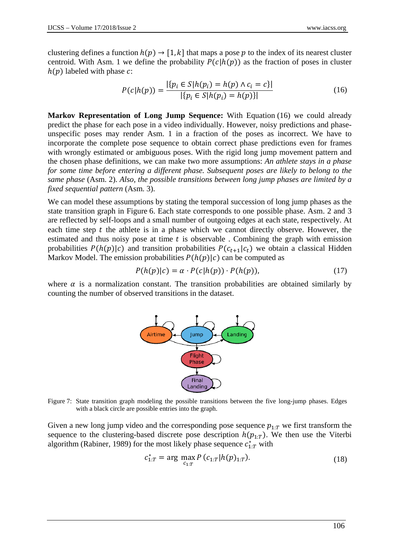clustering defines a function  $h(p) \rightarrow [1, k]$  that maps a pose p to the index of its nearest cluster centroid. With Asm. 1 we define the probability  $P(c|h(p))$  as the fraction of poses in cluster  $h(p)$  labeled with phase  $c$ :

$$
P(c|h(p)) = \frac{|\{p_i \in S | h(p_i) = h(p) \land c_i = c\}|}{|\{p_i \in S | h(p_i) = h(p)\}|}
$$
(16)

**Markov Representation of Long Jump Sequence:** With Equation (16) we could already predict the phase for each pose in a video individually. However, noisy predictions and phaseunspecific poses may render Asm. 1 in a fraction of the poses as incorrect. We have to incorporate the complete pose sequence to obtain correct phase predictions even for frames with wrongly estimated or ambiguous poses. With the rigid long jump movement pattern and the chosen phase definitions, we can make two more assumptions: *An athlete stays in a phase for some time before entering a different phase. Subsequent poses are likely to belong to the same phase* (Asm. 2). *Also, the possible transitions between long jump phases are limited by a fixed sequential pattern* (Asm. 3).

We can model these assumptions by stating the temporal succession of long jump phases as the state transition graph in Figure 6. Each state corresponds to one possible phase. Asm. 2 and 3 are reflected by self-loops and a small number of outgoing edges at each state, respectively. At each time step  $t$  the athlete is in a phase which we cannot directly observe. However, the estimated and thus noisy pose at time  $t$  is observable. Combining the graph with emission probabilities  $P(h(p)|c)$  and transition probabilities  $P(c_{t+1}|c_t)$  we obtain a classical Hidden Markov Model. The emission probabilities  $P(h(p)|c)$  can be computed as

$$
P(h(p)|c) = \alpha \cdot P(c|h(p)) \cdot P(h(p)), \qquad (17)
$$

where  $\alpha$  is a normalization constant. The transition probabilities are obtained similarly by counting the number of observed transitions in the dataset.



Figure 7: State transition graph modeling the possible transitions between the five long-jump phases. Edges with a black circle are possible entries into the graph.

Given a new long jump video and the corresponding pose sequence  $p_{1:T}$  we first transform the sequence to the clustering-based discrete pose description  $h(p_{1:T})$ . We then use the Viterbi algorithm (Rabiner, 1989) for the most likely phase sequence  $c_{1:T}^*$  with

$$
c_{1:T}^* = \arg\max_{c_{1:T}} P(c_{1:T}|h(p)_{1:T}).
$$
\n(18)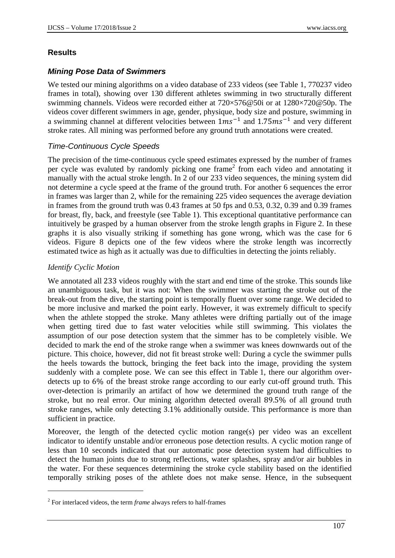# **Results**

# *Mining Pose Data of Swimmers*

We tested our mining algorithms on a video database of 233 videos (see Table 1, 770237 video frames in total), showing over 130 different athletes swimming in two structurally different swimming channels. Videos were recorded either at 720×576@50i or at 1280×720@50p. The videos cover different swimmers in age, gender, physique, body size and posture, swimming in a swimming channel at different velocities between  $1\text{ms}^{-1}$  and  $1.75\text{ms}^{-1}$  and very different stroke rates. All mining was performed before any ground truth annotations were created.

# *Time-Continuous Cycle Speeds*

The precision of the time-continuous cycle speed estimates expressed by the number of frames per cycle was evaluted by randomly picking one frame<sup>2</sup> from each video and annotating it manually with the actual stroke length. In 2 of our 233 video sequences, the mining system did not determine a cycle speed at the frame of the ground truth. For another 6 sequences the error in frames was larger than 2, while for the remaining 225 video sequences the average deviation in frames from the ground truth was 0.43 frames at 50 fps and 0.53, 0.32, 0.39 and 0.39 frames for breast, fly, back, and freestyle (see Table 1). This exceptional quantitative performance can intuitively be grasped by a human observer from the stroke length graphs in Figure 2. In these graphs it is also visually striking if something has gone wrong, which was the case for 6 videos. Figure 8 depicts one of the few videos where the stroke length was incorrectly estimated twice as high as it actually was due to difficulties in detecting the joints reliably.

# *Identify Cyclic Motion*

<u>.</u>

We annotated all 233 videos roughly with the start and end time of the stroke. This sounds like an unambiguous task, but it was not: When the swimmer was starting the stroke out of the break-out from the dive, the starting point is temporally fluent over some range. We decided to be more inclusive and marked the point early. However, it was extremely difficult to specify when the athlete stopped the stroke. Many athletes were drifting partially out of the image when getting tired due to fast water velocities while still swimming. This violates the assumption of our pose detection system that the simmer has to be completely visible. We decided to mark the end of the stroke range when a swimmer was knees downwards out of the picture. This choice, however, did not fit breast stroke well: During a cycle the swimmer pulls the heels towards the buttock, bringing the feet back into the image, providing the system suddenly with a complete pose. We can see this effect in Table 1, there our algorithm overdetects up to 6% of the breast stroke range according to our early cut-off ground truth. This over-detection is primarily an artifact of how we determined the ground truth range of the stroke, but no real error. Our mining algorithm detected overall 89.5% of all ground truth stroke ranges, while only detecting 3.1% additionally outside. This performance is more than sufficient in practice.

Moreover, the length of the detected cyclic motion range(s) per video was an excellent indicator to identify unstable and/or erroneous pose detection results. A cyclic motion range of less than 10 seconds indicated that our automatic pose detection system had difficulties to detect the human joints due to strong reflections, water splashes, spray and/or air bubbles in the water. For these sequences determining the stroke cycle stability based on the identified temporally striking poses of the athlete does not make sense. Hence, in the subsequent

<sup>2</sup> For interlaced videos, the term *frame* always refers to half-frames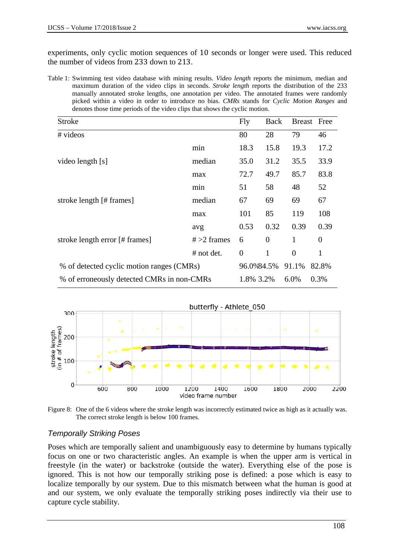experiments, only cyclic motion sequences of 10 seconds or longer were used. This reduced the number of videos from 233 down to 213.

Table 1: Swimming test video database with mining results. *Video length* reports the minimum, median and maximum duration of the video clips in seconds. *Stroke length* reports the distribution of the 233 manually annotated stroke lengths, one annotation per video. The annotated frames were randomly picked within a video in order to introduce no bias. *CMRs* stands for *Cyclic Motion Ranges* and denotes those time periods of the video clips that shows the cyclic motion.

| <b>Stroke</b>                              |                | Fly            | Back           | Breast Free    |                |
|--------------------------------------------|----------------|----------------|----------------|----------------|----------------|
| # videos                                   |                | 80             | 28             | 79             | 46             |
| video length [s]                           | min            | 18.3           | 15.8           | 19.3           | 17.2           |
|                                            | median         | 35.0           | 31.2           | 35.5           | 33.9           |
|                                            | max            | 72.7           | 49.7           | 85.7           | 83.8           |
| stroke length [# frames]                   | min            | 51             | 58             | 48             | 52             |
|                                            | median         | 67             | 69             | 69             | 67             |
|                                            | max            | 101            | 85             | 119            | 108            |
| stroke length error [# frames]             | avg            | 0.53           | 0.32           | 0.39           | 0.39           |
|                                            | $# > 2$ frames | 6              | $\overline{0}$ | $\mathbf{1}$   | $\overline{0}$ |
|                                            | $#$ not det.   | $\overline{0}$ | $\mathbf{1}$   | $\overline{0}$ | 1              |
| % of detected cyclic motion ranges (CMRs)  |                | 96.0%84.5%     |                | 91.1%          | 82.8%          |
| % of erroneously detected CMRs in non-CMRs |                | 1.8% 3.2%      |                | 6.0%           | 0.3%           |



Figure 8: One of the 6 videos where the stroke length was incorrectly estimated twice as high as it actually was. The correct stroke length is below 100 frames.

# *Temporally Striking Poses*

Poses which are temporally salient and unambiguously easy to determine by humans typically focus on one or two characteristic angles. An example is when the upper arm is vertical in freestyle (in the water) or backstroke (outside the water). Everything else of the pose is ignored. This is not how our temporally striking pose is defined: a pose which is easy to localize temporally by our system. Due to this mismatch between what the human is good at and our system, we only evaluate the temporally striking poses indirectly via their use to capture cycle stability.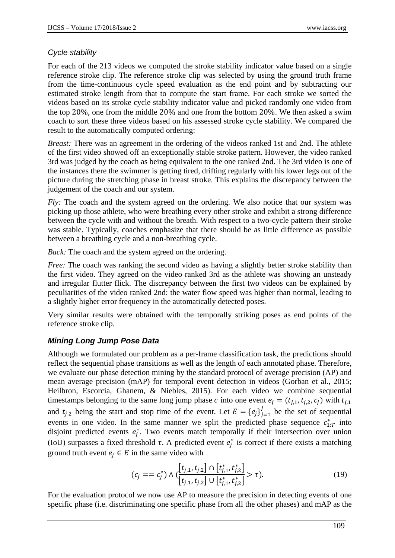# *Cycle stability*

For each of the 213 videos we computed the stroke stability indicator value based on a single reference stroke clip. The reference stroke clip was selected by using the ground truth frame from the time-continuous cycle speed evaluation as the end point and by subtracting our estimated stroke length from that to compute the start frame. For each stroke we sorted the videos based on its stroke cycle stability indicator value and picked randomly one video from the top 20%, one from the middle 20% and one from the bottom 20%. We then asked a swim coach to sort these three videos based on his assessed stroke cycle stability. We compared the result to the automatically computed ordering:

*Breast:* There was an agreement in the ordering of the videos ranked 1st and 2nd. The athlete of the first video showed off an exceptionally stable stroke pattern. However, the video ranked 3rd was judged by the coach as being equivalent to the one ranked 2nd. The 3rd video is one of the instances there the swimmer is getting tired, drifting regularly with his lower legs out of the picture during the stretching phase in breast stroke. This explains the discrepancy between the judgement of the coach and our system.

*Fly:* The coach and the system agreed on the ordering. We also notice that our system was picking up those athlete, who were breathing every other stroke and exhibit a strong difference between the cycle with and without the breath. With respect to a two-cycle pattern their stroke was stable. Typically, coaches emphasize that there should be as little difference as possible between a breathing cycle and a non-breathing cycle.

*Back:* The coach and the system agreed on the ordering.

*Free:* The coach was ranking the second video as having a slightly better stroke stability than the first video. They agreed on the video ranked 3rd as the athlete was showing an unsteady and irregular flutter flick. The discrepancy between the first two videos can be explained by peculiarities of the video ranked 2nd: the water flow speed was higher than normal, leading to a slightly higher error frequency in the automatically detected poses.

Very similar results were obtained with the temporally striking poses as end points of the reference stroke clip.

# *Mining Long Jump Pose Data*

Although we formulated our problem as a per-frame classification task, the predictions should reflect the sequential phase transitions as well as the length of each annotated phase. Therefore, we evaluate our phase detection mining by the standard protocol of average precision (AP) and mean average precision (mAP) for temporal event detection in videos (Gorban et al., 2015; Heilbron, Escorcia, Ghanem, & Niebles, 2015). For each video we combine sequential timestamps belonging to the same long jump phase c into one event  $e_i = (t_{i,1}, t_{i,2}, c_i)$  with  $t_{i,1}$ and  $t_{j,2}$  being the start and stop time of the event. Let  $E = \{e_j\}_{j=1}^J$  be the set of sequential events in one video. In the same manner we split the predicted phase sequence  $c_{1:T}^*$  into disjoint predicted events  $e_j^*$ . Two events match temporally if their intersection over union (IoU) surpasses a fixed threshold  $\tau$ . A predicted event  $e_j^*$  is correct if there exists a matching ground truth event  $e_i \in E$  in the same video with

$$
(c_j == c_j^*) \wedge (\frac{[t_{j,1}, t_{j,2}] \cap [t_{j,1}^*, t_{j,2}^*]}{[t_{j,1}, t_{j,2}] \cup [t_{j,1}^*, t_{j,2}^*]} > \tau).
$$
\n(19)

For the evaluation protocol we now use AP to measure the precision in detecting events of one specific phase (i.e. discriminating one specific phase from all the other phases) and mAP as the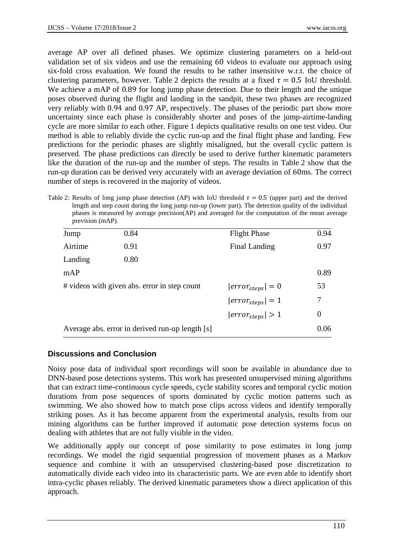average AP over all defined phases. We optimize clustering parameters on a held-out validation set of six videos and use the remaining 60 videos to evaluate our approach using six-fold cross evaluation. We found the results to be rather insensitive w.r.t. the choice of clustering parameters, however. Table 2 depicts the results at a fixed  $\tau = 0.5$  IoU threshold. We achieve a mAP of 0.89 for long jump phase detection. Due to their length and the unique poses observed during the flight and landing in the sandpit, these two phases are recognized very reliably with 0.94 and 0.97 AP, respectively. The phases of the periodic part show more uncertainty since each phase is considerably shorter and poses of the jump-airtime-landing cycle are more similar to each other. Figure 1 depicts qualitative results on one test video. Our method is able to reliably divide the cyclic run-up and the final flight phase and landing. Few predictions for the periodic phases are slightly misaligned, but the overall cyclic pattern is preserved. The phase predictions can directly be used to derive further kinematic parameters like the duration of the run-up and the number of steps. The results in Table 2 show that the run-up duration can be derived very accurately with an average deviation of 60ms. The correct number of steps is recovered in the majority of videos.

Table 2: Results of long jump phase detection (AP) with IoU threshold  $\tau = 0.5$  (upper part) and the derived length and step count during the long jump run-up (lower part). The detection quality of the individual phases is measured by average precision(AP) and averaged for the computation of the mean average prevision (mAP).

| Jump    | 0.84                                            | <b>Flight Phase</b>   | 0.94 |
|---------|-------------------------------------------------|-----------------------|------|
| Airtime | 0.91                                            | Final Landing         | 0.97 |
| Landing | 0.80                                            |                       |      |
| mAP     |                                                 |                       | 0.89 |
|         | # videos with given abs. error in step count    | $ error_{steps}  = 0$ | 53   |
|         |                                                 | $ error_{steps}  = 1$ | 7    |
|         |                                                 | $ error_{steps}  > 1$ | 0    |
|         | Average abs. error in derived run-up length [s] |                       | 0.06 |

# **Discussions and Conclusion**

Noisy pose data of individual sport recordings will soon be available in abundance due to DNN-based pose detections systems. This work has presented unsupervised mining algorithms that can extract time-continuous cycle speeds, cycle stability scores and temporal cyclic motion durations from pose sequences of sports dominated by cyclic motion patterns such as swimming. We also showed how to match pose clips across videos and identify temporally striking poses. As it has become apparent from the experimental analysis, results from our mining algorithms can be further improved if automatic pose detection systems focus on dealing with athletes that are not fully visible in the video.

We additionally apply our concept of pose similarity to pose estimates in long jump recordings. We model the rigid sequential progression of movement phases as a Markov sequence and combine it with an unsupervised clustering-based pose discretization to automatically divide each video into its characteristic parts. We are even able to identify short intra-cyclic phases reliably. The derived kinematic parameters show a direct application of this approach.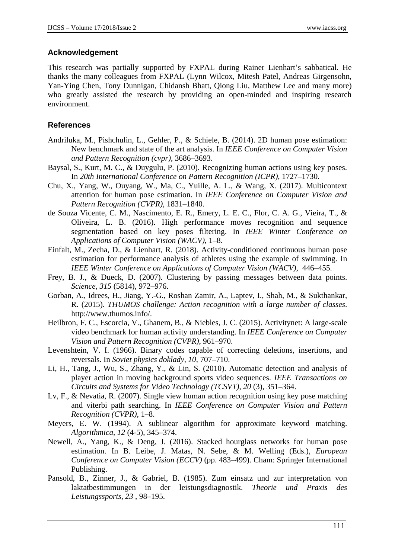# **Acknowledgement**

This research was partially supported by FXPAL during Rainer Lienhart's sabbatical. He thanks the many colleagues from FXPAL (Lynn Wilcox, Mitesh Patel, Andreas Girgensohn, Yan-Ying Chen, Tony Dunnigan, Chidansh Bhatt, Qiong Liu, Matthew Lee and many more) who greatly assisted the research by providing an open-minded and inspiring research environment.

## **References**

- Andriluka, M., Pishchulin, L., Gehler, P., & Schiele, B. (2014). 2D human pose estimation: New benchmark and state of the art analysis. In *IEEE Conference on Computer Vision and Pattern Recognition (cvpr)*, 3686–3693.
- Baysal, S., Kurt, M. C., & Duygulu, P. (2010). Recognizing human actions using key poses. In *20th International Conference on Pattern Recognition (ICPR)*, 1727–1730.
- Chu, X., Yang, W., Ouyang, W., Ma, C., Yuille, A. L., & Wang, X. (2017). Multicontext attention for human pose estimation. In *IEEE Conference on Computer Vision and Pattern Recognition (CVPR)*, 1831–1840.
- de Souza Vicente, C. M., Nascimento, E. R., Emery, L. E. C., Flor, C. A. G., Vieira, T., & Oliveira, L. B. (2016). High performance moves recognition and sequence segmentation based on key poses filtering. In *IEEE Winter Conference on Applications of Computer Vision (WACV)*, 1–8.
- Einfalt, M., Zecha, D., & Lienhart, R. (2018). Activity-conditioned continuous human pose estimation for performance analysis of athletes using the example of swimming. In *IEEE Winter Conference on Applications of Computer Vision (WACV),* 446–455.
- Frey, B. J., & Dueck, D. (2007). Clustering by passing messages between data points. *Science, 315* (5814), 972–976.
- Gorban, A., Idrees, H., Jiang, Y.-G., Roshan Zamir, A., Laptev, I., Shah, M., & Sukthankar, R. (2015). *THUMOS challenge: Action recognition with a large number of classes*. http://www.thumos.info/.
- Heilbron, F. C., Escorcia, V., Ghanem, B., & Niebles, J. C. (2015). Activitynet: A large-scale video benchmark for human activity understanding. In *IEEE Conference on Computer Vision and Pattern Recognition (CVPR)*, 961–970.
- Levenshtein, V. I. (1966). Binary codes capable of correcting deletions, insertions, and reversals. In *Soviet physics doklady*, *10*, 707–710.
- Li, H., Tang, J., Wu, S., Zhang, Y., & Lin, S. (2010). Automatic detection and analysis of player action in moving background sports video sequences. *IEEE Transactions on Circuits and Systems for Video Technology (TCSVT)*, *20* (3), 351–364.
- Lv, F., & Nevatia, R. (2007). Single view human action recognition using key pose matching and viterbi path searching. In *IEEE Conference on Computer Vision and Pattern Recognition (CVPR)*, 1–8.
- Meyers, E. W. (1994). A sublinear algorithm for approximate keyword matching. *Algorithmica, 12* (4-5), 345–374.
- Newell, A., Yang, K., & Deng, J. (2016). Stacked hourglass networks for human pose estimation. In B. Leibe, J. Matas, N. Sebe, & M. Welling (Eds.), *European Conference on Computer Vision (ECCV)* (pp. 483–499). Cham: Springer International Publishing.
- Pansold, B., Zinner, J., & Gabriel, B. (1985). Zum einsatz und zur interpretation von laktatbestimmungen in der leistungsdiagnostik. *Theorie und Praxis des Leistungssports*, *23* , 98–195.